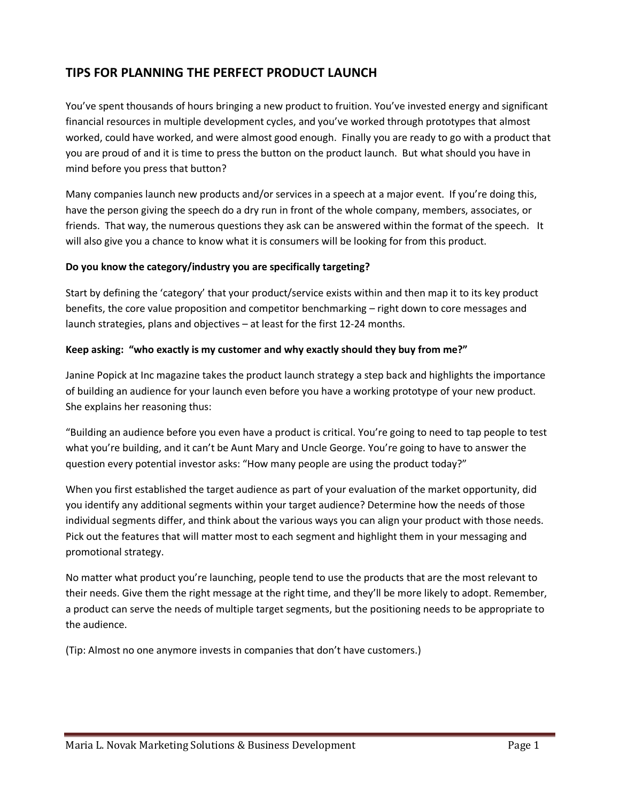# **TIPS FOR PLANNING THE PERFECT PRODUCT LAUNCH**

You've spent thousands of hours bringing a new product to fruition. You've invested energy and significant financial resources in multiple development cycles, and you've worked through prototypes that almost worked, could have worked, and were almost good enough. Finally you are ready to go with a product that you are proud of and it is time to press the button on the product launch. But what should you have in mind before you press that button?

Many companies launch new products and/or services in a speech at a major event. If you're doing this, have the person giving the speech do a dry run in front of the whole company, members, associates, or friends. That way, the numerous questions they ask can be answered within the format of the speech. It will also give you a chance to know what it is consumers will be looking for from this product.

# **Do you know the category/industry you are specifically targeting?**

Start by defining the 'category' that your product/service exists within and then map it to its key product benefits, the core value proposition and competitor benchmarking – right down to core messages and launch strategies, plans and objectives – at least for the first 12-24 months.

## **Keep asking: "who exactly is my customer and why exactly should they buy from me?"**

Janine Popick at Inc magazine takes the product launch strategy a step back and highlights the importance of building an audience for your launch even before you have a working prototype of your new product. She explains her reasoning thus:

"Building an audience before you even have a product is critical. You're going to need to tap people to test what you're building, and it can't be Aunt Mary and Uncle George. You're going to have to answer the question every potential investor asks: "How many people are using the product today?"

When you first established the target audience as part of your evaluation of the market opportunity, did you identify any additional segments within your target audience? Determine how the needs of those individual segments differ, and think about the various ways you can align your product with those needs. Pick out the features that will matter most to each segment and highlight them in your messaging and promotional strategy.

No matter what product you're launching, people tend to use the products that are the most relevant to their needs. Give them the right message at the right time, and they'll be more likely to adopt. Remember, a product can serve the needs of multiple target segments, but the positioning needs to be appropriate to the audience.

(Tip: Almost no one anymore invests in companies that don't have customers.)